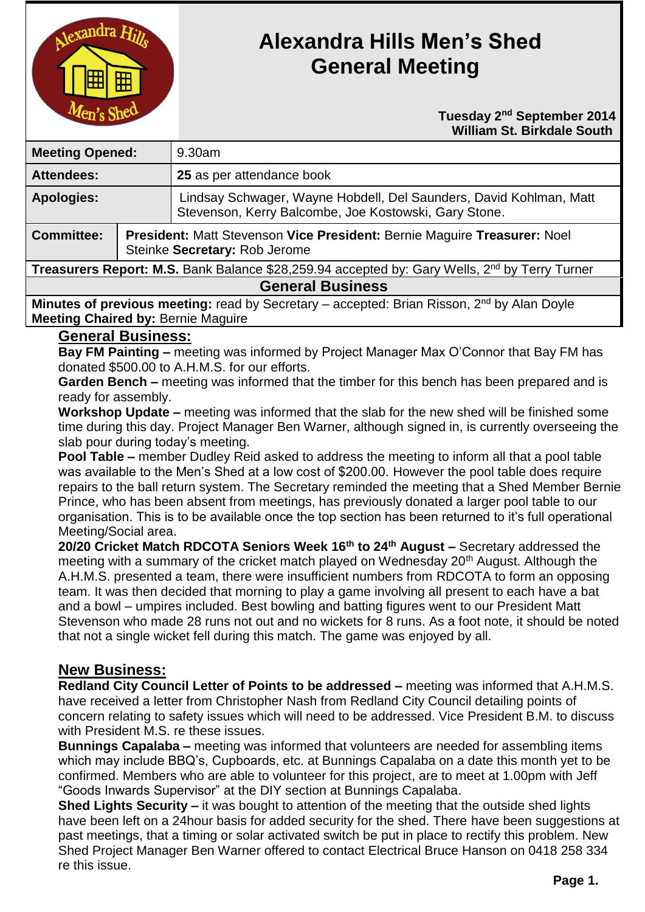

# **Alexandra Hills Men's Shed General Meeting**

#### **Tuesday** 2<sup>nd</sup> September 2014  **William St. Birkdale South**

| <b>Meeting Opened:</b>                                                                                    |                                                                                                           | $9.30$ am                                                                                                                   |
|-----------------------------------------------------------------------------------------------------------|-----------------------------------------------------------------------------------------------------------|-----------------------------------------------------------------------------------------------------------------------------|
| <b>Attendees:</b>                                                                                         |                                                                                                           | 25 as per attendance book                                                                                                   |
| <b>Apologies:</b>                                                                                         |                                                                                                           | Lindsay Schwager, Wayne Hobdell, Del Saunders, David Kohlman, Matt<br>Stevenson, Kerry Balcombe, Joe Kostowski, Gary Stone. |
| <b>Committee:</b>                                                                                         | President: Matt Stevenson Vice President: Bernie Maguire Treasurer: Noel<br>Steinke Secretary: Rob Jerome |                                                                                                                             |
| Treasurers Report: M.S. Bank Balance \$28,259.94 accepted by: Gary Wells, 2 <sup>nd</sup> by Terry Turner |                                                                                                           |                                                                                                                             |
| <b>General Business</b>                                                                                   |                                                                                                           |                                                                                                                             |

**Minutes of previous meeting:** read by Secretary – accepted: Brian Risson, 2<sup>nd</sup> by Alan Doyle **Meeting Chaired by:** Bernie Maguire

#### **General Business:**

**Bay FM Painting –** meeting was informed by Project Manager Max O'Connor that Bay FM has donated \$500.00 to A.H.M.S. for our efforts.

**Garden Bench –** meeting was informed that the timber for this bench has been prepared and is ready for assembly.

**Workshop Update –** meeting was informed that the slab for the new shed will be finished some time during this day. Project Manager Ben Warner, although signed in, is currently overseeing the slab pour during today's meeting.

**Pool Table –** member Dudley Reid asked to address the meeting to inform all that a pool table was available to the Men's Shed at a low cost of \$200.00. However the pool table does require repairs to the ball return system. The Secretary reminded the meeting that a Shed Member Bernie Prince, who has been absent from meetings, has previously donated a larger pool table to our organisation. This is to be available once the top section has been returned to it's full operational Meeting/Social area.

**20/20 Cricket Match RDCOTA Seniors Week 16th to 24th August –** Secretary addressed the meeting with a summary of the cricket match played on Wednesday 20<sup>th</sup> August. Although the A.H.M.S. presented a team, there were insufficient numbers from RDCOTA to form an opposing team. It was then decided that morning to play a game involving all present to each have a bat and a bowl – umpires included. Best bowling and batting figures went to our President Matt Stevenson who made 28 runs not out and no wickets for 8 runs. As a foot note, it should be noted that not a single wicket fell during this match. The game was enjoyed by all.

# **New Business:**

**Redland City Council Letter of Points to be addressed –** meeting was informed that A.H.M.S. have received a letter from Christopher Nash from Redland City Council detailing points of concern relating to safety issues which will need to be addressed. Vice President B.M. to discuss with President M.S. re these issues.

**Bunnings Capalaba –** meeting was informed that volunteers are needed for assembling items which may include BBQ's, Cupboards, etc. at Bunnings Capalaba on a date this month yet to be confirmed. Members who are able to volunteer for this project, are to meet at 1.00pm with Jeff "Goods Inwards Supervisor" at the DIY section at Bunnings Capalaba.

**Shed Lights Security –** it was bought to attention of the meeting that the outside shed lights have been left on a 24hour basis for added security for the shed. There have been suggestions at past meetings, that a timing or solar activated switch be put in place to rectify this problem. New Shed Project Manager Ben Warner offered to contact Electrical Bruce Hanson on 0418 258 334 re this issue.